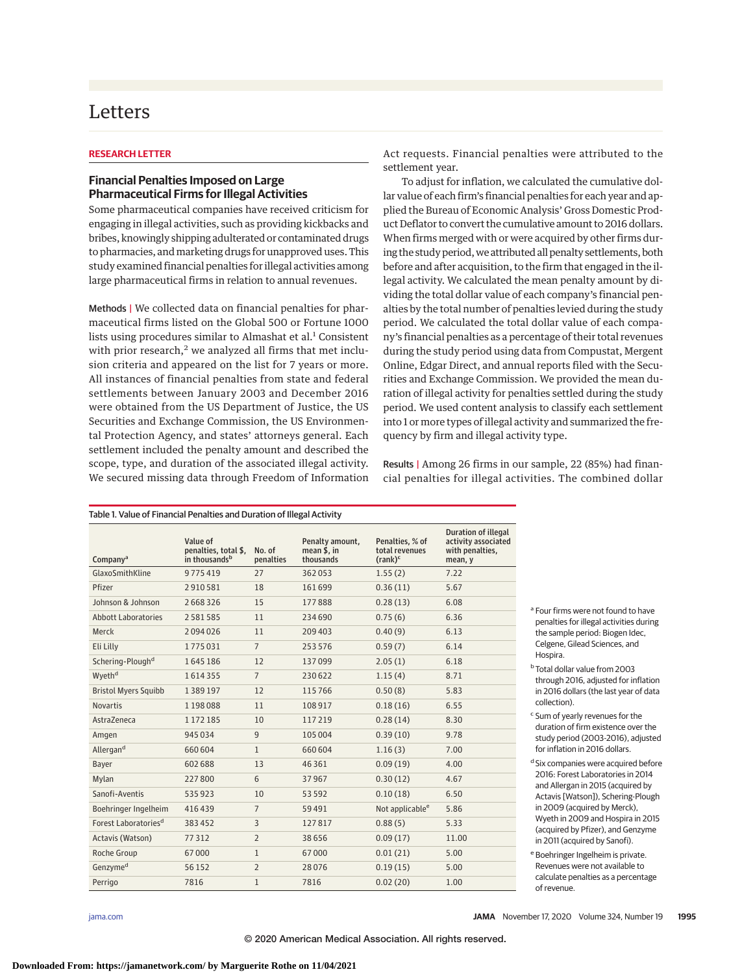# Letters

### **RESEARCH LETTER**

## **Financial Penalties Imposed on Large Pharmaceutical Firms for Illegal Activities**

Some pharmaceutical companies have received criticism for engaging in illegal activities, such as providing kickbacks and bribes, knowingly shipping adulterated or contaminated drugs to pharmacies, and marketing drugs for unapproved uses. This study examined financial penalties for illegal activities among large pharmaceutical firms in relation to annual revenues.

Methods | We collected data on financial penalties for pharmaceutical firms listed on the Global 500 or Fortune 1000 lists using procedures similar to Almashat et al.<sup>1</sup> Consistent with prior research, $2$  we analyzed all firms that met inclusion criteria and appeared on the list for 7 years or more. All instances of financial penalties from state and federal settlements between January 2003 and December 2016 were obtained from the US Department of Justice, the US Securities and Exchange Commission, the US Environmental Protection Agency, and states' attorneys general. Each settlement included the penalty amount and described the scope, type, and duration of the associated illegal activity. We secured missing data through Freedom of Information

Act requests. Financial penalties were attributed to the settlement year.

To adjust for inflation, we calculated the cumulative dollar value of each firm's financial penalties for each year and applied the Bureau of Economic Analysis' Gross Domestic Product Deflator to convert the cumulative amount to 2016 dollars. When firms merged with or were acquired by other firms during the study period, we attributed all penalty settlements, both before and after acquisition, to the firm that engaged in the illegal activity. We calculated the mean penalty amount by dividing the total dollar value of each company's financial penalties by the total number of penalties levied during the study period. We calculated the total dollar value of each company's financial penalties as a percentage of their total revenues during the study period using data from Compustat, Mergent Online, Edgar Direct, and annual reports filed with the Securities and Exchange Commission. We provided the mean duration of illegal activity for penalties settled during the study period. We used content analysis to classify each settlement into 1 or more types of illegal activity and summarized the frequency by firm and illegal activity type.

Results | Among 26 firms in our sample, 22 (85%) had financial penalties for illegal activities. The combined dollar

| Company <sup>a</sup>             | Value of<br>penalties, total \$,<br>in thousands <sup>b</sup> | No. of<br>penalties | Penalty amount,<br>mean \$, in<br>thousands | Penalties, % of<br>total revenues<br>$(rank)^c$ | <b>Duration of illegal</b><br>activity associated<br>with penalties,<br>mean, y |
|----------------------------------|---------------------------------------------------------------|---------------------|---------------------------------------------|-------------------------------------------------|---------------------------------------------------------------------------------|
| GlaxoSmithKline                  | 9775419                                                       | 27                  | 362053                                      | 1.55(2)                                         | 7.22                                                                            |
| Pfizer                           | 2910581                                                       | 18                  | 161699                                      | 0.36(11)                                        | 5.67                                                                            |
| Johnson & Johnson                | 2668326                                                       | 15                  | 177888                                      | 0.28(13)                                        | 6.08                                                                            |
| <b>Abbott Laboratories</b>       | 2 5 8 1 5 8 5                                                 | 11                  | 234 690                                     | 0.75(6)                                         | 6.36                                                                            |
| Merck                            | 2094026                                                       | 11                  | 209 403                                     | 0.40(9)                                         | 6.13                                                                            |
| Eli Lilly                        | 1775031                                                       | $\overline{7}$      | 253 576                                     | 0.59(7)                                         | 6.14                                                                            |
| Schering-Plough <sup>d</sup>     | 1645186                                                       | 12                  | 137099                                      | 2.05(1)                                         | 6.18                                                                            |
| Wyeth <sup>d</sup>               | 1614355                                                       | $\overline{7}$      | 230622                                      | 1.15(4)                                         | 8.71                                                                            |
| <b>Bristol Myers Squibb</b>      | 1389197                                                       | 12                  | 115766                                      | 0.50(8)                                         | 5.83                                                                            |
| <b>Novartis</b>                  | 1198088                                                       | 11                  | 108917                                      | 0.18(16)                                        | 6.55                                                                            |
| AstraZeneca                      | 1 172 185                                                     | 10                  | 117219                                      | 0.28(14)                                        | 8.30                                                                            |
| Amgen                            | 945034                                                        | 9                   | 105 004                                     | 0.39(10)                                        | 9.78                                                                            |
| Allergan <sup>d</sup>            | 660 604                                                       | $\mathbf{1}$        | 660 604                                     | 1.16(3)                                         | 7.00                                                                            |
| Bayer                            | 602 688                                                       | 13                  | 46 3 61                                     | 0.09(19)                                        | 4.00                                                                            |
| Mylan                            | 227800                                                        | 6                   | 37967                                       | 0.30(12)                                        | 4.67                                                                            |
| Sanofi-Aventis                   | 535923                                                        | 10                  | 53 592                                      | 0.10(18)                                        | 6.50                                                                            |
| Boehringer Ingelheim             | 416439                                                        | $\overline{7}$      | 59 4 91                                     | Not applicable <sup>e</sup>                     | 5.86                                                                            |
| Forest Laboratories <sup>d</sup> | 383452                                                        | 3                   | 127817                                      | 0.88(5)                                         | 5.33                                                                            |
| Actavis (Watson)                 | 77312                                                         | $\overline{2}$      | 38 6 5 6                                    | 0.09(17)                                        | 11.00                                                                           |
| Roche Group                      | 67000                                                         | $\mathbf{1}$        | 67000                                       | 0.01(21)                                        | 5.00                                                                            |
| Genzyme <sup>d</sup>             | 56 152                                                        | $\overline{2}$      | 28076                                       | 0.19(15)                                        | 5.00                                                                            |
| Perrigo                          | 7816                                                          | $\mathbf{1}$        | 7816                                        | 0.02(20)                                        | 1.00                                                                            |

<sup>a</sup> Four firms were not found to have penalties for illegal activities during the sample period: Biogen Idec, Celgene, Gilead Sciences, and Hospira.

- <sup>b</sup> Total dollar value from 2003 through 2016, adjusted for inflation in 2016 dollars (the last year of data collection).
- <sup>c</sup> Sum of yearly revenues for the duration of firm existence over the study period (2003-2016), adjusted for inflation in 2016 dollars.
- d Six companies were acquired before 2016: Forest Laboratories in 2014 and Allergan in 2015 (acquired by Actavis [Watson]), Schering-Plough in 2009 (acquired by Merck), Wyeth in 2009 and Hospira in 2015 (acquired by Pfizer), and Genzyme in 2011 (acquired by Sanofi).
- <sup>e</sup> Boehringer Ingelheim is private. Revenues were not available to calculate penalties as a percentage of revenue.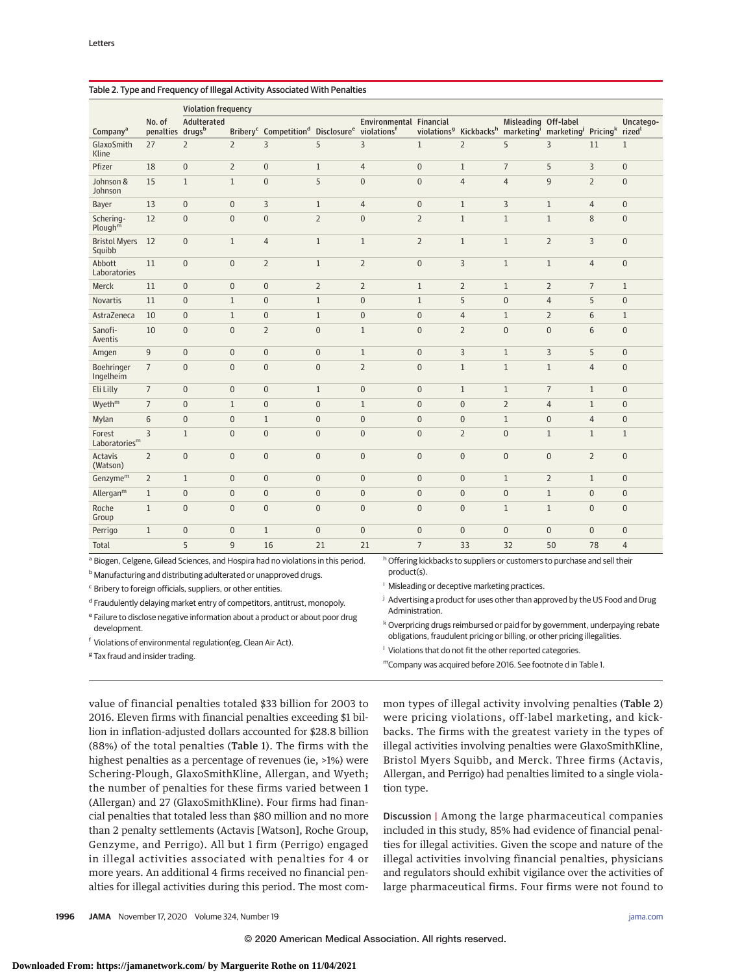|                                                                                                                                                                           |                            | <b>Violation frequency</b> |                  |                                                                       |                |                                                    |                |                                                |                                   |                                             |                |                                 |
|---------------------------------------------------------------------------------------------------------------------------------------------------------------------------|----------------------------|----------------------------|------------------|-----------------------------------------------------------------------|----------------|----------------------------------------------------|----------------|------------------------------------------------|-----------------------------------|---------------------------------------------|----------------|---------------------------------|
| Company <sup>a</sup>                                                                                                                                                      | No. of<br>penalties drugsb | Adulterated                |                  | Bribery <sup>c</sup> Competition <sup>d</sup> Disclosure <sup>e</sup> |                | Environmental Financial<br>violations <sup>f</sup> |                | violations <sup>9</sup> Kickbacks <sup>h</sup> | Misleading Off-label<br>marketing | marketing <sup>j</sup> Pricing <sup>k</sup> |                | Uncatego-<br>rized <sup>l</sup> |
| GlaxoSmith<br>Kline                                                                                                                                                       | 27                         | $\overline{2}$             | $\overline{2}$   | 3                                                                     | 5              | $\overline{3}$                                     | $\mathbf{1}$   | $\overline{2}$                                 | 5                                 | 3                                           | 11             | $\mathbf{1}$                    |
| Pfizer                                                                                                                                                                    | 18                         | $\mathbf{0}$               | $\overline{2}$   | $\pmb{0}$                                                             | $\mathbf{1}$   | $\overline{4}$                                     | $\overline{0}$ | $\mathbf{1}$                                   | $\overline{7}$                    | 5                                           | 3              | $\mathbf{0}$                    |
| Johnson &<br>Johnson                                                                                                                                                      | 15                         | $\mathbf{1}$               | $\mathbf{1}$     | $\mathbf{0}$                                                          | 5              | $\overline{0}$                                     | $\overline{0}$ | $\overline{4}$                                 | $\overline{4}$                    | 9                                           | $\overline{2}$ | $\mathbf{0}$                    |
| Bayer                                                                                                                                                                     | 13                         | $\mathbf{0}$               | $\mathbf{0}$     | 3                                                                     | $\mathbf{1}$   | $\overline{4}$                                     | $\overline{0}$ | $\mathbf{1}$                                   | 3                                 | $\mathbf{1}$                                | $\overline{4}$ | $\overline{0}$                  |
| Schering-<br>Plough <sup>m</sup>                                                                                                                                          | 12                         | $\mathbf{0}$               | $\mathbf{0}$     | $\mathbf{0}$                                                          | $\overline{2}$ | $\mathbf{0}$                                       | $\overline{2}$ | $\mathbf{1}$                                   | $\mathbf{1}$                      | $\mathbf{1}$                                | 8              | $\overline{0}$                  |
| <b>Bristol Myers</b><br>Squibb                                                                                                                                            | 12                         | $\boldsymbol{0}$           | $\mathbf{1}$     | $\overline{4}$                                                        | $1\,$          | $\mathbf{1}$                                       | $\overline{2}$ | $\mathbf{1}$                                   | $\mathbf{1}$                      | $\overline{2}$                              | $\overline{3}$ | $\mathbf 0$                     |
| Abbott<br>Laboratories                                                                                                                                                    | 11                         | $\mathbf{0}$               | $\mathbf{0}$     | $\overline{2}$                                                        | $\mathbf{1}$   | $\overline{2}$                                     | $\overline{0}$ | 3                                              | $\mathbf{1}$                      | $\mathbf{1}$                                | $\overline{4}$ | $\overline{0}$                  |
| Merck                                                                                                                                                                     | 11                         | $\pmb{0}$                  | $\boldsymbol{0}$ | $\pmb{0}$                                                             | $\overline{2}$ | $\overline{2}$                                     | $\mathbf{1}$   | $\overline{2}$                                 | $\mathbf{1}$                      | $\overline{2}$                              | $\overline{7}$ | $\mathbf{1}$                    |
| <b>Novartis</b>                                                                                                                                                           | 11                         | $\pmb{0}$                  | $\mathbf{1}$     | $\mathbf{0}$                                                          | $\mathbf{1}$   | $\mathbf{0}$                                       | $\mathbf{1}$   | 5                                              | $\pmb{0}$                         | $\overline{4}$                              | 5              | $\overline{0}$                  |
| AstraZeneca                                                                                                                                                               | 10                         | $\mathbf{0}$               | $\mathbf{1}$     | $\mathbf{0}$                                                          | $\mathbf{1}$   | $\mathbf{0}$                                       | $\overline{0}$ | $\overline{4}$                                 | $\mathbf{1}$                      | $\overline{2}$                              | 6              | $\mathbf{1}$                    |
| Sanofi-<br>Aventis                                                                                                                                                        | 10                         | $\mathbf{0}$               | $\mathbf{0}$     | $\overline{2}$                                                        | $\mathbf{0}$   | $\mathbf{1}$                                       | $\overline{0}$ | $\overline{2}$                                 | $\boldsymbol{0}$                  | $\overline{0}$                              | 6              | $\overline{0}$                  |
| Amgen                                                                                                                                                                     | $\overline{9}$             | $\mathbf{0}$               | $\mathbf{0}$     | $\mathbf{0}$                                                          | $\mathbf{0}$   | $\mathbf{1}$                                       | $\overline{0}$ | $\overline{3}$                                 | $\mathbf{1}$                      | 3                                           | 5              | $\mathbf{0}$                    |
| Boehringer<br>Ingelheim                                                                                                                                                   | $\overline{7}$             | $\mathbf{0}$               | $\mathbf{0}$     | $\mathbf{0}$                                                          | $\mathbf{0}$   | $\overline{2}$                                     | $\overline{0}$ | $\mathbf{1}$                                   | $\mathbf{1}$                      | $\mathbf{1}$                                | $\overline{4}$ | $\mathbf{0}$                    |
| Eli Lilly                                                                                                                                                                 | $\overline{7}$             | $\mathbf{0}$               | $\mathbf{0}$     | $\mathbf{0}$                                                          | $\mathbf{1}$   | $\mathbf{0}$                                       | $\overline{0}$ | $\mathbf{1}$                                   | $\mathbf{1}$                      | $\overline{7}$                              | $\mathbf{1}$   | $\mathbf{0}$                    |
| Wyeth <sup>m</sup>                                                                                                                                                        | $\overline{7}$             | $\mathbf{0}$               | $\mathbf{1}$     | $\mathbf{0}$                                                          | $\mathbf{0}$   | $\mathbf{1}$                                       | $\overline{0}$ | $\mathbf{0}$                                   | $\overline{2}$                    | $\overline{4}$                              | $\mathbf{1}$   | $\mathbf{0}$                    |
| Mylan                                                                                                                                                                     | 6                          | $\mathbf{0}$               | $\mathbf{0}$     | $\mathbf{1}$                                                          | $\mathbf{0}$   | $\mathbf{0}$                                       | $\overline{0}$ | $\mathbf{0}$                                   | $\mathbf{1}$                      | $\mathbf{0}$                                | $\overline{4}$ | $\bf{0}$                        |
| Forest<br>Laboratories <sup>m</sup>                                                                                                                                       | 3                          | $\mathbf{1}$               | $\mathbf{0}$     | $\mathbf{0}$                                                          | $\mathbf{0}$   | $\Omega$                                           | $\overline{0}$ | $\overline{2}$                                 | $\mathbf{0}$                      | $\mathbf{1}$                                | $\mathbf{1}$   | $\mathbf{1}$                    |
| Actavis<br>(Watson)                                                                                                                                                       | $\overline{2}$             | $\mathbf{0}$               | $\Omega$         | $\mathbf{0}$                                                          | $\mathbf{0}$   | $\Omega$                                           | $\overline{0}$ | $\mathbf{0}$                                   | $\overline{0}$                    | $\Omega$                                    | $\overline{2}$ | $\mathbf{0}$                    |
| Genzyme <sup>m</sup>                                                                                                                                                      | $\overline{2}$             | $\mathbf{1}$               | $\mathbf{0}$     | $\mathbf{0}$                                                          | $\mathbf{0}$   | $\mathbf{0}$                                       | $\overline{0}$ | $\mathbf{0}$                                   | $\mathbf{1}$                      | $\overline{2}$                              | $\mathbf{1}$   | $\mathbf{0}$                    |
| Allergan $m$                                                                                                                                                              | $\mathbf{1}$               | $\mathbf{0}$               | $\mathbf{0}$     | $\mathbf{0}$                                                          | $\mathbf{0}$   | $\mathbf{0}$                                       | $\overline{0}$ | $\mathbf{0}$                                   | $\pmb{0}$                         | $\mathbf{1}$                                | $\mathbf{0}$   | $\boldsymbol{0}$                |
| Roche<br>Group                                                                                                                                                            | $\mathbf{1}$               | $\mathbf{0}$               | $\mathbf{0}$     | $\mathbf{0}$                                                          | $\mathbf{0}$   | $\Omega$                                           | $\overline{0}$ | $\mathbf{0}$                                   | $\mathbf{1}$                      | $\mathbf{1}$                                | $\mathbf{0}$   | $\mathbf{0}$                    |
| Perrigo                                                                                                                                                                   | $\mathbf{1}$               | $\mathbf{0}$               | $\mathbf{0}$     | $\mathbf{1}$                                                          | $\mathbf{0}$   | $\mathbf{0}$                                       | $\overline{0}$ | $\Omega$                                       | $\mathbf{0}$                      | $\mathbf{0}$                                | $\mathbf{0}$   | $\mathbf{0}$                    |
| Total                                                                                                                                                                     |                            | 5                          | 9                | 16                                                                    | 21             | 21                                                 | $\overline{7}$ | 33                                             | 32                                | 50                                          | 78             | $\overline{4}$                  |
| h Offering kickbacks to suppliers or customers to purchase and sell their<br><sup>a</sup> Biogen, Celgene, Gilead Sciences, and Hospira had no violations in this period. |                            |                            |                  |                                                                       |                |                                                    |                |                                                |                                   |                                             |                |                                 |

### Table 2. Type and Frequency of Illegal Activity Associated With Penalties

| <sup>b</sup> Manufacturing and distributing adulterated or unapproved drugs.                  | product(s).<br>Misleading or deceptive marketing practices.<br>Advertising a product for uses other than approved by the US Food and Drug<br>Administration.<br><sup>k</sup> Overpricing drugs reimbursed or paid for by government, underpaying rebate<br>obligations, fraudulent pricing or billing, or other pricing illegalities.<br>Violations that do not fit the other reported categories. |  |  |  |  |
|-----------------------------------------------------------------------------------------------|----------------------------------------------------------------------------------------------------------------------------------------------------------------------------------------------------------------------------------------------------------------------------------------------------------------------------------------------------------------------------------------------------|--|--|--|--|
| <sup>c</sup> Bribery to foreign officials, suppliers, or other entities.                      |                                                                                                                                                                                                                                                                                                                                                                                                    |  |  |  |  |
| <sup>d</sup> Fraudulently delaying market entry of competitors, antitrust, monopoly.          |                                                                                                                                                                                                                                                                                                                                                                                                    |  |  |  |  |
| e Failure to disclose negative information about a product or about poor drug<br>development. |                                                                                                                                                                                                                                                                                                                                                                                                    |  |  |  |  |
| <sup>†</sup> Violations of environmental regulation(eg, Clean Air Act).                       |                                                                                                                                                                                                                                                                                                                                                                                                    |  |  |  |  |
| <sup>g</sup> Tax fraud and insider trading.                                                   |                                                                                                                                                                                                                                                                                                                                                                                                    |  |  |  |  |
|                                                                                               | "Company was acquired before 2016. See footnote d in Table 1.                                                                                                                                                                                                                                                                                                                                      |  |  |  |  |

value of financial penalties totaled \$33 billion for 2003 to 2016. Eleven firms with financial penalties exceeding \$1 billion in inflation-adjusted dollars accounted for \$28.8 billion (88%) of the total penalties (Table 1). The firms with the highest penalties as a percentage of revenues (ie, >1%) were Schering-Plough, GlaxoSmithKline, Allergan, and Wyeth; the number of penalties for these firms varied between 1 (Allergan) and 27 (GlaxoSmithKline). Four firms had financial penalties that totaled less than \$80 million and no more than 2 penalty settlements (Actavis [Watson], Roche Group, Genzyme, and Perrigo). All but 1 firm (Perrigo) engaged in illegal activities associated with penalties for 4 or more years. An additional 4 firms received no financial penalties for illegal activities during this period. The most common types of illegal activity involving penalties (Table 2) were pricing violations, off-label marketing, and kickbacks. The firms with the greatest variety in the types of illegal activities involving penalties were GlaxoSmithKline, Bristol Myers Squibb, and Merck. Three firms (Actavis, Allergan, and Perrigo) had penalties limited to a single violation type.

Discussion | Among the large pharmaceutical companies included in this study, 85% had evidence of financial penalties for illegal activities. Given the scope and nature of the illegal activities involving financial penalties, physicians and regulators should exhibit vigilance over the activities of large pharmaceutical firms. Four firms were not found to